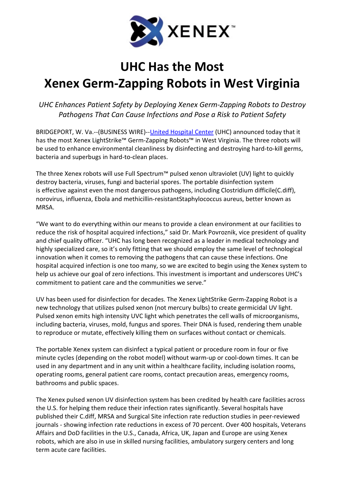

# UHC Has the Most Xenex Germ-Zapping Robots in West Virginia

UHC Enhances Patient Safety by Deploying Xenex Germ-Zapping Robots to Destroy Pathogens That Can Cause Infections and Pose a Risk to Patient Safety

BRIDGEPORT, W. Va.--(BUSINESS WIRE)--United Hospital Center (UHC) announced today that it has the most Xenex LightStrike™ Germ-Zapping Robots™ in West Virginia. The three robots will be used to enhance environmental cleanliness by disinfecting and destroying hard-to-kill germs, bacteria and superbugs in hard-to-clean places.

The three Xenex robots will use Full Spectrum™ pulsed xenon ultraviolet (UV) light to quickly destroy bacteria, viruses, fungi and bacterial spores. The portable disinfection system is effective against even the most dangerous pathogens, including Clostridium difficile(C.diff), norovirus, influenza, Ebola and methicillin-resistantStaphylococcus aureus, better known as MRSA.

"We want to do everything within our means to provide a clean environment at our facilities to reduce the risk of hospital acquired infections," said Dr. Mark Povroznik, vice president of quality and chief quality officer. "UHC has long been recognized as a leader in medical technology and highly specialized care, so it's only fitting that we should employ the same level of technological innovation when it comes to removing the pathogens that can cause these infections. One hospital acquired infection is one too many, so we are excited to begin using the Xenex system to help us achieve our goal of zero infections. This investment is important and underscores UHC's commitment to patient care and the communities we serve."

UV has been used for disinfection for decades. The Xenex LightStrike Germ-Zapping Robot is a new technology that utilizes pulsed xenon (not mercury bulbs) to create germicidal UV light. Pulsed xenon emits high intensity UVC light which penetrates the cell walls of microorganisms, including bacteria, viruses, mold, fungus and spores. Their DNA is fused, rendering them unable to reproduce or mutate, effectively killing them on surfaces without contact or chemicals.

The portable Xenex system can disinfect a typical patient or procedure room in four or five minute cycles (depending on the robot model) without warm-up or cool-down times. It can be used in any department and in any unit within a healthcare facility, including isolation rooms, operating rooms, general patient care rooms, contact precaution areas, emergency rooms, bathrooms and public spaces.

The Xenex pulsed xenon UV disinfection system has been credited by health care facilities across the U.S. for helping them reduce their infection rates significantly. Several hospitals have published their C.diff, MRSA and Surgical Site infection rate reduction studies in peer-reviewed journals - showing infection rate reductions in excess of 70 percent. Over 400 hospitals, Veterans Affairs and DoD facilities in the U.S., Canada, Africa, UK, Japan and Europe are using Xenex robots, which are also in use in skilled nursing facilities, ambulatory surgery centers and long term acute care facilities.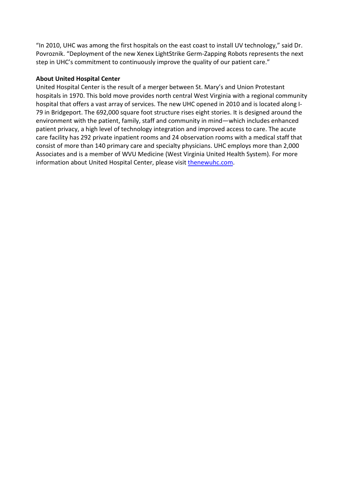"In 2010, UHC was among the first hospitals on the east coast to install UV technology," said Dr. Povroznik. "Deployment of the new Xenex LightStrike Germ-Zapping Robots represents the next step in UHC's commitment to continuously improve the quality of our patient care."

## About United Hospital Center

United Hospital Center is the result of a merger between St. Mary's and Union Protestant hospitals in 1970. This bold move provides north central West Virginia with a regional community hospital that offers a vast array of services. The new UHC opened in 2010 and is located along I-79 in Bridgeport. The 692,000 square foot structure rises eight stories. It is designed around the environment with the patient, family, staff and community in mind—which includes enhanced patient privacy, a high level of technology integration and improved access to care. The acute care facility has 292 private inpatient rooms and 24 observation rooms with a medical staff that consist of more than 140 primary care and specialty physicians. UHC employs more than 2,000 Associates and is a member of WVU Medicine (West Virginia United Health System). For more information about United Hospital Center, please visit thenewuhc.com.